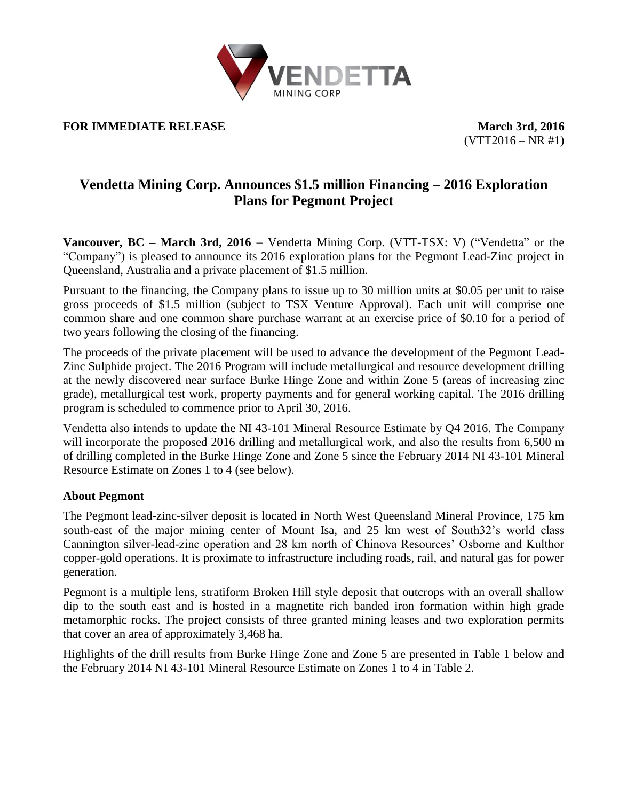

## **FOR IMMEDIATE RELEASE** March 3rd, 2016

 $(VTT2016 - NR #1)$ 

# **Vendetta Mining Corp. Announces \$1.5 million Financing – 2016 Exploration Plans for Pegmont Project**

**Vancouver, BC – March 3rd, 2016** – Vendetta Mining Corp. (VTT-TSX: V) ("Vendetta" or the "Company") is pleased to announce its 2016 exploration plans for the Pegmont Lead-Zinc project in Queensland, Australia and a private placement of \$1.5 million.

Pursuant to the financing, the Company plans to issue up to 30 million units at \$0.05 per unit to raise gross proceeds of \$1.5 million (subject to TSX Venture Approval). Each unit will comprise one common share and one common share purchase warrant at an exercise price of \$0.10 for a period of two years following the closing of the financing.

The proceeds of the private placement will be used to advance the development of the Pegmont Lead-Zinc Sulphide project. The 2016 Program will include metallurgical and resource development drilling at the newly discovered near surface Burke Hinge Zone and within Zone 5 (areas of increasing zinc grade), metallurgical test work, property payments and for general working capital. The 2016 drilling program is scheduled to commence prior to April 30, 2016.

Vendetta also intends to update the NI 43-101 Mineral Resource Estimate by Q4 2016. The Company will incorporate the proposed 2016 drilling and metallurgical work, and also the results from 6,500 m of drilling completed in the Burke Hinge Zone and Zone 5 since the February 2014 NI 43-101 Mineral Resource Estimate on Zones 1 to 4 (see below).

## **About Pegmont**

The Pegmont lead-zinc-silver deposit is located in North West Queensland Mineral Province, 175 km south-east of the major mining center of Mount Isa, and 25 km west of South32's world class Cannington silver-lead-zinc operation and 28 km north of Chinova Resources' Osborne and Kulthor copper-gold operations. It is proximate to infrastructure including roads, rail, and natural gas for power generation.

Pegmont is a multiple lens, stratiform Broken Hill style deposit that outcrops with an overall shallow dip to the south east and is hosted in a magnetite rich banded iron formation within high grade metamorphic rocks. The project consists of three granted mining leases and two exploration permits that cover an area of approximately 3,468 ha.

Highlights of the drill results from Burke Hinge Zone and Zone 5 are presented in Table 1 below and the February 2014 NI 43-101 Mineral Resource Estimate on Zones 1 to 4 in Table 2.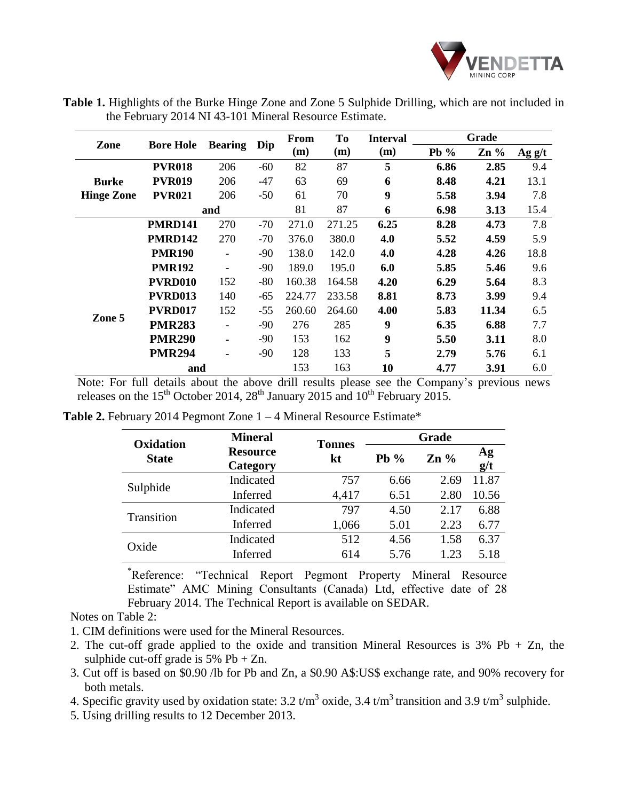

**Table 1.** Highlights of the Burke Hinge Zone and Zone 5 Sulphide Drilling, which are not included in the February 2014 NI 43-101 Mineral Resource Estimate.

| Zone                              | <b>Bore Hole</b> | <b>Bearing</b>           | Dip   | From   | T <sub>0</sub> | <b>Interval</b> | Grade  |        |                  |
|-----------------------------------|------------------|--------------------------|-------|--------|----------------|-----------------|--------|--------|------------------|
|                                   |                  |                          |       | (m)    | (m)            | (m)             | Pb $%$ | $Zn\%$ | $\text{Ag } g/t$ |
| <b>Burke</b><br><b>Hinge Zone</b> | <b>PVR018</b>    | 206                      | -60   | 82     | 87             | 5               | 6.86   | 2.85   | 9.4              |
|                                   | <b>PVR019</b>    | 206                      | $-47$ | 63     | 69             | 6               | 8.48   | 4.21   | 13.1             |
|                                   | <b>PVR021</b>    | 206                      | $-50$ | 61     | 70             | 9               | 5.58   | 3.94   | 7.8              |
|                                   | and              |                          |       | 81     | 87             | 6               | 6.98   | 3.13   | 15.4             |
|                                   | <b>PMRD141</b>   | 270                      | $-70$ | 271.0  | 271.25         | 6.25            | 8.28   | 4.73   | 7.8              |
|                                   | <b>PMRD142</b>   | 270                      | $-70$ | 376.0  | 380.0          | 4.0             | 5.52   | 4.59   | 5.9              |
|                                   | <b>PMR190</b>    | $\overline{\phantom{0}}$ | $-90$ | 138.0  | 142.0          | 4.0             | 4.28   | 4.26   | 18.8             |
| Zone 5                            | <b>PMR192</b>    | ۰                        | $-90$ | 189.0  | 195.0          | 6.0             | 5.85   | 5.46   | 9.6              |
|                                   | PVRD010          | 152                      | $-80$ | 160.38 | 164.58         | 4.20            | 6.29   | 5.64   | 8.3              |
|                                   | <b>PVRD013</b>   | 140                      | -65   | 224.77 | 233.58         | 8.81            | 8.73   | 3.99   | 9.4              |
|                                   | PVRD017          | 152                      | $-55$ | 260.60 | 264.60         | 4.00            | 5.83   | 11.34  | 6.5              |
|                                   | <b>PMR283</b>    |                          | -90   | 276    | 285            | 9               | 6.35   | 6.88   | 7.7              |
|                                   | <b>PMR290</b>    | ۰                        | $-90$ | 153    | 162            | 9               | 5.50   | 3.11   | 8.0              |
|                                   | <b>PMR294</b>    |                          | -90   | 128    | 133            | 5               | 2.79   | 5.76   | 6.1              |
|                                   | and              |                          |       | 153    | 163            | 10              | 4.77   | 3.91   | 6.0              |

Note: For full details about the above drill results please see the Company's previous news releases on the 15<sup>th</sup> October 2014, 28<sup>th</sup> January 2015 and 10<sup>th</sup> February 2015.

|                           | <b>Mineral</b>              |                     | Grade  |                 |           |  |
|---------------------------|-----------------------------|---------------------|--------|-----------------|-----------|--|
| Oxidation<br><b>State</b> | <b>Resource</b><br>Category | <b>Tonnes</b><br>kt | Pb $%$ | $\mathbf{Zn}$ % | Ag<br>g/t |  |
|                           | Indicated                   | 757                 | 6.66   | 2.69            | 11.87     |  |
| Sulphide                  | Inferred                    | 4,417               | 6.51   | 2.80            | 10.56     |  |
|                           | Indicated                   | 797                 | 4.50   | 2.17            | 6.88      |  |
| Transition                | Inferred                    | 1,066               | 5.01   | 2.23            | 6.77      |  |
|                           | Indicated                   | 512                 | 4.56   | 1.58            | 6.37      |  |
| Oxide                     | Inferred                    | 614                 | 5.76   | 1.23            | 5.18      |  |

**Table 2.** February 2014 Pegmont Zone 1 – 4 Mineral Resource Estimate\*

\*Reference: "Technical Report Pegmont Property Mineral Resource Estimate" AMC Mining Consultants (Canada) Ltd, effective date of 28 February 2014. The Technical Report is available on SEDAR.

## Notes on Table 2:

- 1. CIM definitions were used for the Mineral Resources.
- 2. The cut-off grade applied to the oxide and transition Mineral Resources is  $3\%$  Pb + Zn, the sulphide cut-off grade is  $5\%$  Pb + Zn.
- 3. Cut off is based on \$0.90 /lb for Pb and Zn, a \$0.90 A\$:US\$ exchange rate, and 90% recovery for both metals.
- 4. Specific gravity used by oxidation state:  $3.2 \text{ t/m}^3$  oxide,  $3.4 \text{ t/m}^3$  transition and  $3.9 \text{ t/m}^3$  sulphide.
- 5. Using drilling results to 12 December 2013.